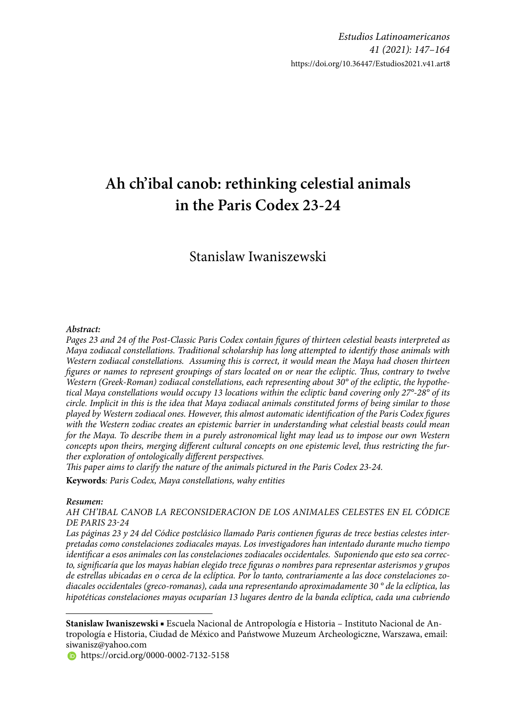# **Ah ch'ibal canob: rethinking celestial animals in the Paris Codex 23-24**

# Stanislaw Iwaniszewski

#### *Abstract:*

Pages 23 and 24 of the Post-Classic Paris Codex contain figures of thirteen celestial beasts interpreted as *Maya zodiacal constellations. Traditional scholarship has long attempted to identify those animals with Western zodiacal constellations. Assuming this is correct, it would mean the Maya had chosen thirteen figures or names to represent groupings of stars located on or near the ecliptic. Thus, contrary to twelve Western (Greek-Roman) zodiacal constellations, each representing about 30° of the ecliptic, the hypothetical Maya constellations would occupy 13 locations within the ecliptic band covering only 27°-28° of its circle. Implicit in this is the idea that Maya zodiacal animals constituted forms of being similar to those played by Western zodiacal ones. However, this almost automatic identifi cation of the Paris Codex fi gures with the Western zodiac creates an epistemic barrier in understanding what celestial beasts could mean for the Maya. To describe them in a purely astronomical light may lead us to impose our own Western*  concepts upon theirs, merging different cultural concepts on one epistemic level, thus restricting the further exploration of ontologically different perspectives.

*This paper aims to clarify the nature of the animals pictured in the Paris Codex 23-24.* 

**Keywords***: Paris Codex, Maya constellations, wahy entities* 

#### *Resumen:*

*AH CH'IBAL CANOB LA RECONSIDERACION DE LOS ANIMALES CELESTES EN EL CÓDICE DE PARIS 23-24*

Las páginas 23 y 24 del Códice postclásico llamado Paris contienen figuras de trece bestias celestes inter*pretadas como constelaciones zodiacales mayas. Los investigadores han intentado durante mucho tiempo*  identificar a esos animales con las constelaciones zodiacales occidentales. Suponiendo que esto sea correc*to, signifi caría que los mayas habían elegido trece fi guras o nombres para representar asterismos y grupos de estrellas ubicadas en o cerca de la eclíptica. Por lo tanto, contrariamente a las doce constelaciones zodiacales occidentales (greco-romanas), cada una representando aproximadamente 30 ° de la eclíptica, las hipotéticas constelaciones mayas ocuparían 13 lugares dentro de la banda eclíptica, cada una cubriendo* 

**https://orcid.org/0000-0002-7132-5158** 

**Stanislaw Iwaniszewski** ■ Escuela Nacional de Antropología e Historia – Instituto Nacional de Antropología e Historia, Ciudad de México and Państwowe Muzeum Archeologiczne, Warszawa, email: siwanisz@yahoo.com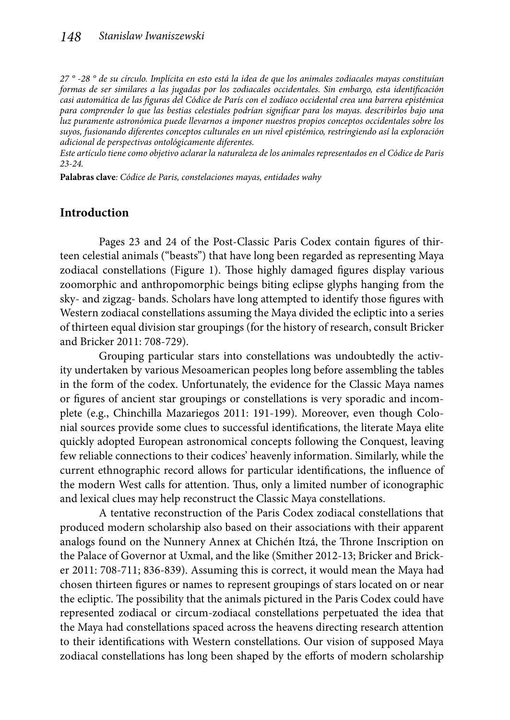*27 ° -28 ° de su círculo. Implícita en esto está la idea de que los animales zodiacales mayas constituían formas de ser similares a las jugadas por los zodiacales occidentales. Sin embargo, esta identificación* casi automática de las figuras del Códice de París con el zodíaco occidental crea una barrera epistémica *para comprender lo que las bestias celestiales podrían signifi car para los mayas. describirlos bajo una luz puramente astronómica puede llevarnos a imponer nuestros propios conceptos occidentales sobre los suyos, fusionando diferentes conceptos culturales en un nivel epistémico, restringiendo así la exploración adicional de perspectivas ontológicamente diferentes.*

*Este artículo tiene como objetivo aclarar la naturaleza de los animales representados en el Códice de Paris 23-24.*

**Palabras clave***: Códice de Paris, constelaciones mayas, entidades wahy* 

### **Introduction**

Pages 23 and 24 of the Post-Classic Paris Codex contain figures of thirteen celestial animals ("beasts") that have long been regarded as representing Maya zodiacal constellations (Figure 1). Those highly damaged figures display various zoomorphic and anthropomorphic beings biting eclipse glyphs hanging from the sky- and zigzag- bands. Scholars have long attempted to identify those figures with Western zodiacal constellations assuming the Maya divided the ecliptic into a series of thirteen equal division star groupings (for the history of research, consult Bricker and Bricker 2011: 708-729).

Grouping particular stars into constellations was undoubtedly the activity undertaken by various Mesoamerican peoples long before assembling the tables in the form of the codex. Unfortunately, the evidence for the Classic Maya names or figures of ancient star groupings or constellations is very sporadic and incomplete (e.g., Chinchilla Mazariegos 2011: 191-199). Moreover, even though Colonial sources provide some clues to successful identifications, the literate Maya elite quickly adopted European astronomical concepts following the Conquest, leaving few reliable connections to their codices' heavenly information. Similarly, while the current ethnographic record allows for particular identifications, the influence of the modern West calls for attention. Thus, only a limited number of iconographic and lexical clues may help reconstruct the Classic Maya constellations.

A tentative reconstruction of the Paris Codex zodiacal constellations that produced modern scholarship also based on their associations with their apparent analogs found on the Nunnery Annex at Chichén Itzá, the Throne Inscription on the Palace of Governor at Uxmal, and the like (Smither 2012-13; Bricker and Bricker 2011: 708-711; 836-839). Assuming this is correct, it would mean the Maya had chosen thirteen figures or names to represent groupings of stars located on or near the ecliptic. The possibility that the animals pictured in the Paris Codex could have represented zodiacal or circum-zodiacal constellations perpetuated the idea that the Maya had constellations spaced across the heavens directing research attention to their identifications with Western constellations. Our vision of supposed Maya zodiacal constellations has long been shaped by the efforts of modern scholarship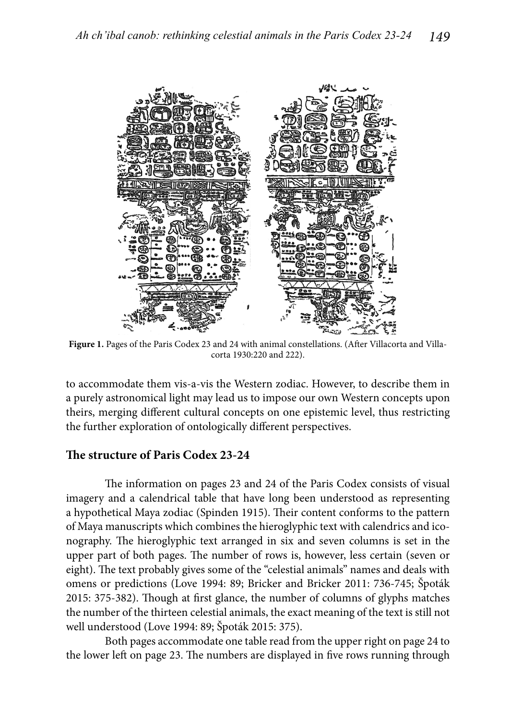

Figure 1. Pages of the Paris Codex 23 and 24 with animal constellations. (After Villacorta and Villacorta 1930:220 and 222).

to accommodate them vis-a-vis the Western zodiac. However, to describe them in a purely astronomical light may lead us to impose our own Western concepts upon theirs, merging different cultural concepts on one epistemic level, thus restricting the further exploration of ontologically different perspectives.

### **Th e structure of Paris Codex 23-24**

The information on pages 23 and 24 of the Paris Codex consists of visual imagery and a calendrical table that have long been understood as representing a hypothetical Maya zodiac (Spinden 1915). Their content conforms to the pattern of Maya manuscripts which combines the hieroglyphic text with calendrics and iconography. The hieroglyphic text arranged in six and seven columns is set in the upper part of both pages. The number of rows is, however, less certain (seven or eight). The text probably gives some of the "celestial animals" names and deals with omens or predictions (Love 1994: 89; Bricker and Bricker 2011: 736-745; Špoták 2015: 375-382). Though at first glance, the number of columns of glyphs matches the number of the thirteen celestial animals, the exact meaning of the text is still not well understood (Love 1994: 89; Špoták 2015: 375).

Both pages accommodate one table read from the upper right on page 24 to the lower left on page 23. The numbers are displayed in five rows running through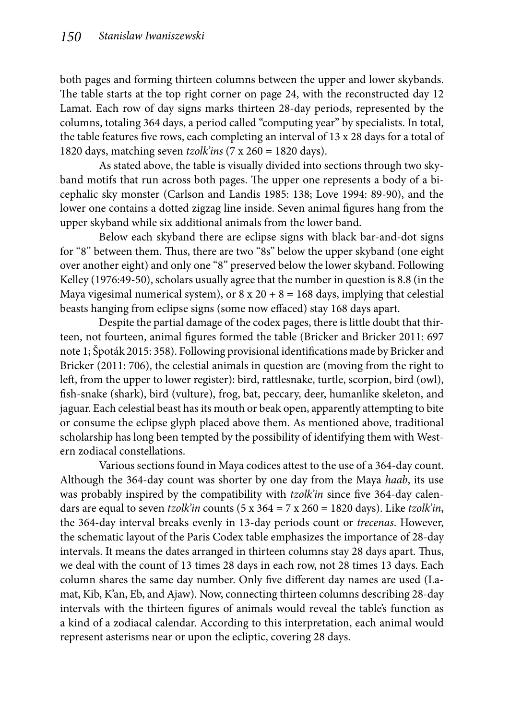both pages and forming thirteen columns between the upper and lower skybands. The table starts at the top right corner on page 24, with the reconstructed day 12 Lamat. Each row of day signs marks thirteen 28-day periods, represented by the columns, totaling 364 days, a period called "computing year" by specialists. In total, the table features five rows, each completing an interval of  $13 \times 28$  days for a total of 1820 days, matching seven *tzolk'ins* (7 x 260 = 1820 days).

As stated above, the table is visually divided into sections through two skyband motifs that run across both pages. The upper one represents a body of a bicephalic sky monster (Carlson and Landis 1985: 138; Love 1994: 89-90), and the lower one contains a dotted zigzag line inside. Seven animal figures hang from the upper skyband while six additional animals from the lower band.

Below each skyband there are eclipse signs with black bar-and-dot signs for "8" between them. Thus, there are two "8s" below the upper skyband (one eight over another eight) and only one "8" preserved below the lower skyband. Following Kelley (1976:49-50), scholars usually agree that the number in question is 8.8 (in the Maya vigesimal numerical system), or  $8 \times 20 + 8 = 168$  days, implying that celestial beasts hanging from eclipse signs (some now effaced) stay 168 days apart.

Despite the partial damage of the codex pages, there is little doubt that thirteen, not fourteen, animal figures formed the table (Bricker and Bricker 2011: 697 note 1; Spoták 2015: 358). Following provisional identifications made by Bricker and Bricker (2011: 706), the celestial animals in question are (moving from the right to left, from the upper to lower register): bird, rattlesnake, turtle, scorpion, bird (owl), fish-snake (shark), bird (vulture), frog, bat, peccary, deer, humanlike skeleton, and jaguar. Each celestial beast has its mouth or beak open, apparently attempting to bite or consume the eclipse glyph placed above them. As mentioned above, traditional scholarship has long been tempted by the possibility of identifying them with Western zodiacal constellations.

Various sections found in Maya codices attest to the use of a 364-day count. Although the 364-day count was shorter by one day from the Maya *haab*, its use was probably inspired by the compatibility with *tzolk'in* since five 364-day calendars are equal to seven *tzolk'in* counts (5 x 364 = 7 x 260 = 1820 days). Like *tzolk'in*, the 364-day interval breaks evenly in 13-day periods count or *trecenas*. However, the schematic layout of the Paris Codex table emphasizes the importance of 28-day intervals. It means the dates arranged in thirteen columns stay 28 days apart. Thus, we deal with the count of 13 times 28 days in each row, not 28 times 13 days. Each column shares the same day number. Only five different day names are used (Lamat, Kib, K'an, Eb, and Ajaw). Now, connecting thirteen columns describing 28-day intervals with the thirteen figures of animals would reveal the table's function as a kind of a zodiacal calendar. According to this interpretation, each animal would represent asterisms near or upon the ecliptic, covering 28 days.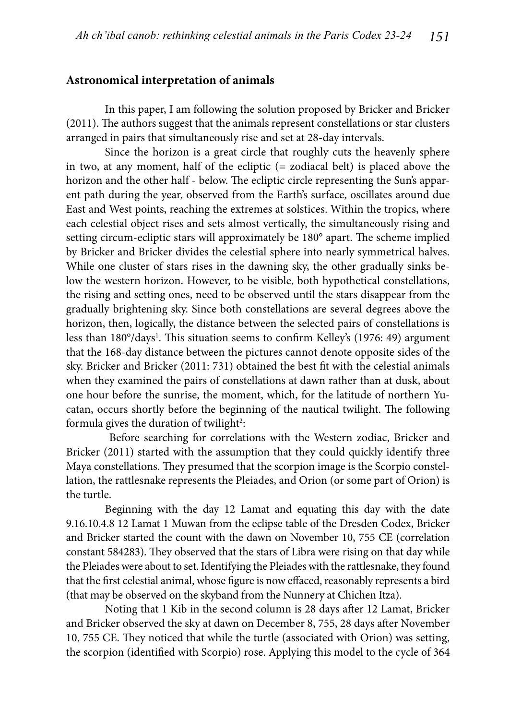#### **Astronomical interpretation of animals**

In this paper, I am following the solution proposed by Bricker and Bricker (2011). The authors suggest that the animals represent constellations or star clusters arranged in pairs that simultaneously rise and set at 28-day intervals.

Since the horizon is a great circle that roughly cuts the heavenly sphere in two, at any moment, half of the ecliptic (= zodiacal belt) is placed above the horizon and the other half - below. The ecliptic circle representing the Sun's apparent path during the year, observed from the Earth's surface, oscillates around due East and West points, reaching the extremes at solstices. Within the tropics, where each celestial object rises and sets almost vertically, the simultaneously rising and setting circum-ecliptic stars will approximately be 180° apart. The scheme implied by Bricker and Bricker divides the celestial sphere into nearly symmetrical halves. While one cluster of stars rises in the dawning sky, the other gradually sinks below the western horizon. However, to be visible, both hypothetical constellations, the rising and setting ones, need to be observed until the stars disappear from the gradually brightening sky. Since both constellations are several degrees above the horizon, then, logically, the distance between the selected pairs of constellations is less than 180°/days<sup>1</sup>. This situation seems to confirm Kelley's (1976: 49) argument that the 168-day distance between the pictures cannot denote opposite sides of the sky. Bricker and Bricker (2011: 731) obtained the best fit with the celestial animals when they examined the pairs of constellations at dawn rather than at dusk, about one hour before the sunrise, the moment, which, for the latitude of northern Yucatan, occurs shortly before the beginning of the nautical twilight. The following formula gives the duration of twilight<sup>2</sup>:

 Before searching for correlations with the Western zodiac, Bricker and Bricker (2011) started with the assumption that they could quickly identify three Maya constellations. They presumed that the scorpion image is the Scorpio constellation, the rattlesnake represents the Pleiades, and Orion (or some part of Orion) is the turtle.

Beginning with the day 12 Lamat and equating this day with the date 9.16.10.4.8 12 Lamat 1 Muwan from the eclipse table of the Dresden Codex, Bricker and Bricker started the count with the dawn on November 10, 755 CE (correlation constant 584283). They observed that the stars of Libra were rising on that day while the Pleiades were about to set. Identifying the Pleiades with the rattlesnake, they found that the first celestial animal, whose figure is now effaced, reasonably represents a bird (that may be observed on the skyband from the Nunnery at Chichen Itza).

Noting that 1 Kib in the second column is 28 days after 12 Lamat, Bricker and Bricker observed the sky at dawn on December 8, 755, 28 days after November 10, 755 CE. They noticed that while the turtle (associated with Orion) was setting, the scorpion (identified with Scorpio) rose. Applying this model to the cycle of 364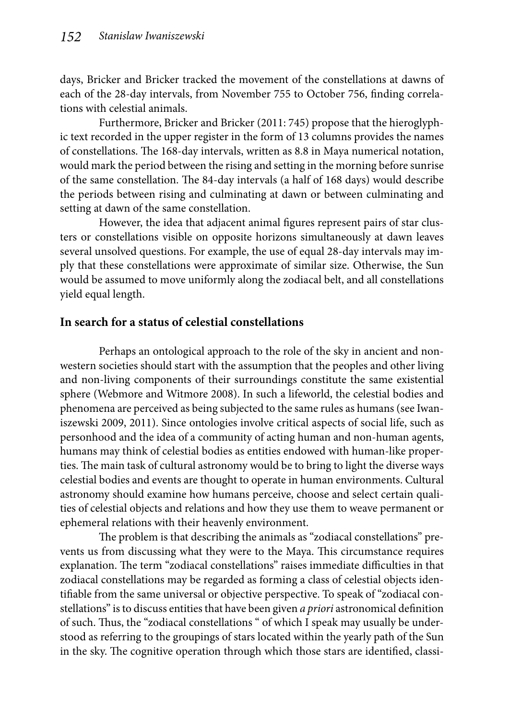days, Bricker and Bricker tracked the movement of the constellations at dawns of each of the 28-day intervals, from November 755 to October 756, finding correlations with celestial animals.

Furthermore, Bricker and Bricker (2011: 745) propose that the hieroglyphic text recorded in the upper register in the form of 13 columns provides the names of constellations. The 168-day intervals, written as 8.8 in Maya numerical notation, would mark the period between the rising and setting in the morning before sunrise of the same constellation. The 84-day intervals (a half of 168 days) would describe the periods between rising and culminating at dawn or between culminating and setting at dawn of the same constellation.

However, the idea that adjacent animal figures represent pairs of star clusters or constellations visible on opposite horizons simultaneously at dawn leaves several unsolved questions. For example, the use of equal 28-day intervals may imply that these constellations were approximate of similar size. Otherwise, the Sun would be assumed to move uniformly along the zodiacal belt, and all constellations yield equal length.

## **In search for a status of celestial constellations**

Perhaps an ontological approach to the role of the sky in ancient and nonwestern societies should start with the assumption that the peoples and other living and non-living components of their surroundings constitute the same existential sphere (Webmore and Witmore 2008). In such a lifeworld, the celestial bodies and phenomena are perceived as being subjected to the same rules as humans (see Iwaniszewski 2009, 2011). Since ontologies involve critical aspects of social life, such as personhood and the idea of a community of acting human and non-human agents, humans may think of celestial bodies as entities endowed with human-like properties. The main task of cultural astronomy would be to bring to light the diverse ways celestial bodies and events are thought to operate in human environments. Cultural astronomy should examine how humans perceive, choose and select certain qualities of celestial objects and relations and how they use them to weave permanent or ephemeral relations with their heavenly environment.

The problem is that describing the animals as "zodiacal constellations" prevents us from discussing what they were to the Maya. This circumstance requires explanation. The term "zodiacal constellations" raises immediate difficulties in that zodiacal constellations may be regarded as forming a class of celestial objects identifiable from the same universal or objective perspective. To speak of "zodiacal constellations" is to discuss entities that have been given *a priori* astronomical definition of such. Thus, the "zodiacal constellations " of which I speak may usually be understood as referring to the groupings of stars located within the yearly path of the Sun in the sky. The cognitive operation through which those stars are identified, classi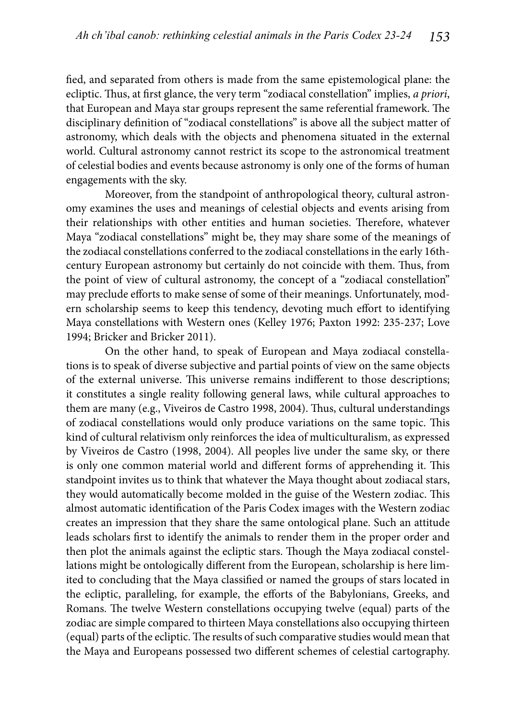fied, and separated from others is made from the same epistemological plane: the ecliptic. Thus, at first glance, the very term "zodiacal constellation" implies, *a priori*, that European and Maya star groups represent the same referential framework. The disciplinary definition of "zodiacal constellations" is above all the subject matter of astronomy, which deals with the objects and phenomena situated in the external world. Cultural astronomy cannot restrict its scope to the astronomical treatment of celestial bodies and events because astronomy is only one of the forms of human engagements with the sky.

Moreover, from the standpoint of anthropological theory, cultural astronomy examines the uses and meanings of celestial objects and events arising from their relationships with other entities and human societies. Therefore, whatever Maya "zodiacal constellations" might be, they may share some of the meanings of the zodiacal constellations conferred to the zodiacal constellations in the early 16thcentury European astronomy but certainly do not coincide with them. Thus, from the point of view of cultural astronomy, the concept of a "zodiacal constellation" may preclude efforts to make sense of some of their meanings. Unfortunately, modern scholarship seems to keep this tendency, devoting much effort to identifying Maya constellations with Western ones (Kelley 1976; Paxton 1992: 235-237; Love 1994; Bricker and Bricker 2011).

On the other hand, to speak of European and Maya zodiacal constellations is to speak of diverse subjective and partial points of view on the same objects of the external universe. This universe remains indifferent to those descriptions; it constitutes a single reality following general laws, while cultural approaches to them are many (e.g., Viveiros de Castro 1998, 2004). Thus, cultural understandings of zodiacal constellations would only produce variations on the same topic. This kind of cultural relativism only reinforces the idea of multiculturalism, as expressed by Viveiros de Castro (1998, 2004). All peoples live under the same sky, or there is only one common material world and different forms of apprehending it. This standpoint invites us to think that whatever the Maya thought about zodiacal stars, they would automatically become molded in the guise of the Western zodiac. This almost automatic identification of the Paris Codex images with the Western zodiac creates an impression that they share the same ontological plane. Such an attitude leads scholars first to identify the animals to render them in the proper order and then plot the animals against the ecliptic stars. Though the Maya zodiacal constellations might be ontologically different from the European, scholarship is here limited to concluding that the Maya classified or named the groups of stars located in the ecliptic, paralleling, for example, the efforts of the Babylonians, Greeks, and Romans. The twelve Western constellations occupying twelve (equal) parts of the zodiac are simple compared to thirteen Maya constellations also occupying thirteen (equal) parts of the ecliptic. The results of such comparative studies would mean that the Maya and Europeans possessed two different schemes of celestial cartography.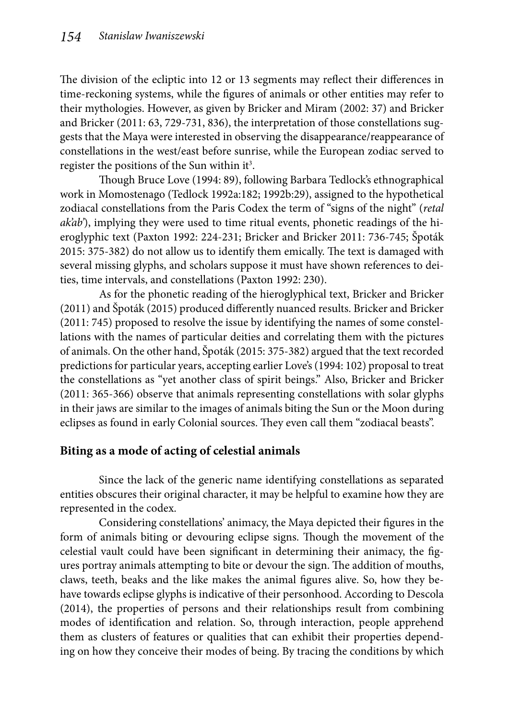The division of the ecliptic into 12 or 13 segments may reflect their differences in time-reckoning systems, while the figures of animals or other entities may refer to their mythologies. However, as given by Bricker and Miram (2002: 37) and Bricker and Bricker (2011: 63, 729-731, 836), the interpretation of those constellations suggests that the Maya were interested in observing the disappearance/reappearance of constellations in the west/east before sunrise, while the European zodiac served to register the positions of the Sun within it<sup>3</sup>.

Though Bruce Love (1994: 89), following Barbara Tedlock's ethnographical work in Momostenago (Tedlock 1992a:182; 1992b:29), assigned to the hypothetical zodiacal constellations from the Paris Codex the term of "signs of the night" (*retal ak'ab'*), implying they were used to time ritual events, phonetic readings of the hieroglyphic text (Paxton 1992: 224-231; Bricker and Bricker 2011: 736-745; Špoták 2015: 375-382) do not allow us to identify them emically. The text is damaged with several missing glyphs, and scholars suppose it must have shown references to deities, time intervals, and constellations (Paxton 1992: 230).

As for the phonetic reading of the hieroglyphical text, Bricker and Bricker (2011) and Špoták (2015) produced differently nuanced results. Bricker and Bricker (2011: 745) proposed to resolve the issue by identifying the names of some constellations with the names of particular deities and correlating them with the pictures of animals. On the other hand, Špoták (2015: 375-382) argued that the text recorded predictions for particular years, accepting earlier Love's (1994: 102) proposal to treat the constellations as "yet another class of spirit beings." Also, Bricker and Bricker (2011: 365-366) observe that animals representing constellations with solar glyphs in their jaws are similar to the images of animals biting the Sun or the Moon during eclipses as found in early Colonial sources. They even call them "zodiacal beasts".

# **Biting as a mode of acting of celestial animals**

Since the lack of the generic name identifying constellations as separated entities obscures their original character, it may be helpful to examine how they are represented in the codex.

Considering constellations' animacy, the Maya depicted their figures in the form of animals biting or devouring eclipse signs. Though the movement of the celestial vault could have been significant in determining their animacy, the figures portray animals attempting to bite or devour the sign. The addition of mouths, claws, teeth, beaks and the like makes the animal figures alive. So, how they behave towards eclipse glyphs is indicative of their personhood. According to Descola (2014), the properties of persons and their relationships result from combining modes of identification and relation. So, through interaction, people apprehend them as clusters of features or qualities that can exhibit their properties depending on how they conceive their modes of being. By tracing the conditions by which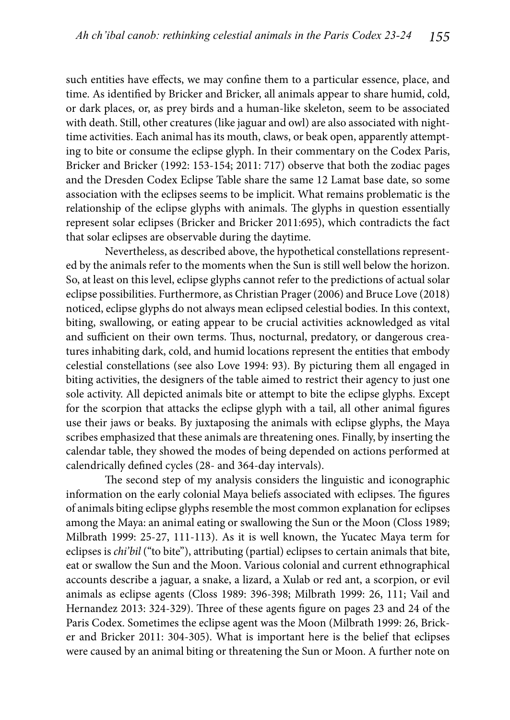such entities have effects, we may confine them to a particular essence, place, and time. As identified by Bricker and Bricker, all animals appear to share humid, cold, or dark places, or, as prey birds and a human-like skeleton, seem to be associated with death. Still, other creatures (like jaguar and owl) are also associated with nighttime activities. Each animal has its mouth, claws, or beak open, apparently attempting to bite or consume the eclipse glyph. In their commentary on the Codex Paris, Bricker and Bricker (1992: 153-154; 2011: 717) observe that both the zodiac pages and the Dresden Codex Eclipse Table share the same 12 Lamat base date, so some association with the eclipses seems to be implicit. What remains problematic is the relationship of the eclipse glyphs with animals. The glyphs in question essentially represent solar eclipses (Bricker and Bricker 2011:695), which contradicts the fact that solar eclipses are observable during the daytime.

Nevertheless, as described above, the hypothetical constellations represented by the animals refer to the moments when the Sun is still well below the horizon. So, at least on this level, eclipse glyphs cannot refer to the predictions of actual solar eclipse possibilities. Furthermore, as Christian Prager (2006) and Bruce Love (2018) noticed, eclipse glyphs do not always mean eclipsed celestial bodies. In this context, biting, swallowing, or eating appear to be crucial activities acknowledged as vital and sufficient on their own terms. Thus, nocturnal, predatory, or dangerous creatures inhabiting dark, cold, and humid locations represent the entities that embody celestial constellations (see also Love 1994: 93). By picturing them all engaged in biting activities, the designers of the table aimed to restrict their agency to just one sole activity. All depicted animals bite or attempt to bite the eclipse glyphs. Except for the scorpion that attacks the eclipse glyph with a tail, all other animal figures use their jaws or beaks. By juxtaposing the animals with eclipse glyphs, the Maya scribes emphasized that these animals are threatening ones. Finally, by inserting the calendar table, they showed the modes of being depended on actions performed at calendrically defined cycles (28- and 364-day intervals).

The second step of my analysis considers the linguistic and iconographic information on the early colonial Maya beliefs associated with eclipses. The figures of animals biting eclipse glyphs resemble the most common explanation for eclipses among the Maya: an animal eating or swallowing the Sun or the Moon (Closs 1989; Milbrath 1999: 25-27, 111-113). As it is well known, the Yucatec Maya term for eclipses is *chi'bil* ("to bite"), attributing (partial) eclipses to certain animals that bite, eat or swallow the Sun and the Moon. Various colonial and current ethnographical accounts describe a jaguar, a snake, a lizard, a Xulab or red ant, a scorpion, or evil animals as eclipse agents (Closs 1989: 396-398; Milbrath 1999: 26, 111; Vail and Hernandez 2013: 324-329). Three of these agents figure on pages 23 and 24 of the Paris Codex. Sometimes the eclipse agent was the Moon (Milbrath 1999: 26, Bricker and Bricker 2011: 304-305). What is important here is the belief that eclipses were caused by an animal biting or threatening the Sun or Moon. A further note on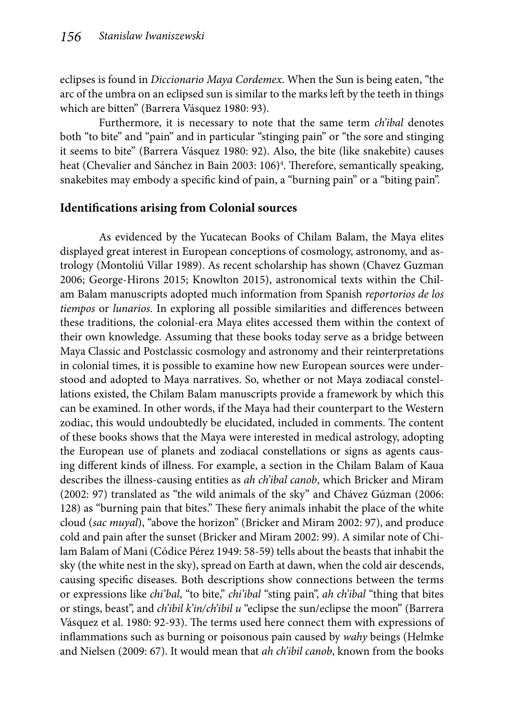eclipses is found in *Diccionario Maya Cordemex*. When the Sun is being eaten, "the arc of the umbra on an eclipsed sun is similar to the marks left by the teeth in things which are bitten" (Barrera Vásquez 1980: 93).

Furthermore, it is necessary to note that the same term *ch'ibal* denotes both "to bite" and "pain" and in particular "stinging pain" or "the sore and stinging it seems to bite" (Barrera Vásquez 1980: 92). Also, the bite (like snakebite) causes heat (Chevalier and Sánchez in Bain 2003: 106)<sup>4</sup>. Therefore, semantically speaking, snakebites may embody a specific kind of pain, a "burning pain" or a "biting pain".

# **Identifications arising from Colonial sources**

As evidenced by the Yucatecan Books of Chilam Balam, the Maya elites displayed great interest in European conceptions of cosmology, astronomy, and astrology (Montoliú Villar 1989). As recent scholarship has shown (Chavez Guzman 2006; George-Hirons 2015; Knowlton 2015), astronomical texts within the Chilam Balam manuscripts adopted much information from Spanish *reportorios de los tiempos* or *lunarios*. In exploring all possible similarities and differences between these traditions, the colonial-era Maya elites accessed them within the context of their own knowledge. Assuming that these books today serve as a bridge between Maya Classic and Postclassic cosmology and astronomy and their reinterpretations in colonial times, it is possible to examine how new European sources were understood and adopted to Maya narratives. So, whether or not Maya zodiacal constellations existed, the Chilam Balam manuscripts provide a framework by which this can be examined. In other words, if the Maya had their counterpart to the Western zodiac, this would undoubtedly be elucidated, included in comments. The content of these books shows that the Maya were interested in medical astrology, adopting the European use of planets and zodiacal constellations or signs as agents causing different kinds of illness. For example, a section in the Chilam Balam of Kaua describes the illness-causing entities as *ah ch'ibal canob*, which Bricker and Miram (2002: 97) translated as "the wild animals of the sky" and Chávez Gúzman (2006: 128) as "burning pain that bites." These fiery animals inhabit the place of the white cloud (*sac muyal*), "above the horizon" (Bricker and Miram 2002: 97), and produce cold and pain after the sunset (Bricker and Miram 2002: 99). A similar note of Chilam Balam of Mani (Códice Pérez 1949: 58-59) tells about the beasts that inhabit the sky (the white nest in the sky), spread on Earth at dawn, when the cold air descends, causing specific diseases. Both descriptions show connections between the terms or expressions like *chi'bal*, "to bite," *chi'ibal* "sting pain", *ah ch'ibal* "thing that bites or stings, beast", and *ch'ibil k'in/ch'ibil u* "eclipse the sun/eclipse the moon" (Barrera Vásquez et al. 1980: 92-93). The terms used here connect them with expressions of inflammations such as burning or poisonous pain caused by *wahy* beings (Helmke and Nielsen (2009: 67). It would mean that *ah ch'ibil canob*, known from the books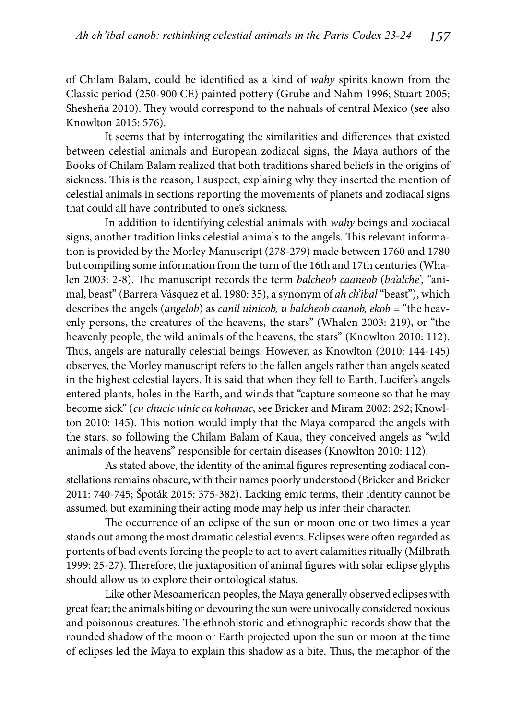of Chilam Balam, could be identified as a kind of *wahy* spirits known from the Classic period (250-900 CE) painted pottery (Grube and Nahm 1996; Stuart 2005; Shesheña 2010). They would correspond to the nahuals of central Mexico (see also Knowlton 2015: 576).

It seems that by interrogating the similarities and differences that existed between celestial animals and European zodiacal signs, the Maya authors of the Books of Chilam Balam realized that both traditions shared beliefs in the origins of sickness. This is the reason, I suspect, explaining why they inserted the mention of celestial animals in sections reporting the movements of planets and zodiacal signs that could all have contributed to one's sickness.

In addition to identifying celestial animals with *wahy* beings and zodiacal signs, another tradition links celestial animals to the angels. This relevant information is provided by the Morley Manuscript (278-279) made between 1760 and 1780 but compiling some information from the turn of the 16th and 17th centuries (Whalen 2003: 2-8). The manuscript records the term *balcheob caaneob* (*ba'alche*', "animal, beast" (Barrera Vásquez et al. 1980: 35), a synonym of *ah ch'ibal* "beast"), which describes the angels (*angelob*) as *canil uinicob, u balcheob caanob, ekob* = "the heavenly persons, the creatures of the heavens, the stars" (Whalen 2003: 219), or "the heavenly people, the wild animals of the heavens, the stars" (Knowlton 2010: 112). Thus, angels are naturally celestial beings. However, as Knowlton (2010: 144-145) observes, the Morley manuscript refers to the fallen angels rather than angels seated in the highest celestial layers. It is said that when they fell to Earth, Lucifer's angels entered plants, holes in the Earth, and winds that "capture someone so that he may become sick" (*cu chucic uinic ca kohanac*, see Bricker and Miram 2002: 292; Knowlton 2010: 145). This notion would imply that the Maya compared the angels with the stars, so following the Chilam Balam of Kaua, they conceived angels as "wild animals of the heavens" responsible for certain diseases (Knowlton 2010: 112).

As stated above, the identity of the animal figures representing zodiacal constellations remains obscure, with their names poorly understood (Bricker and Bricker 2011: 740-745; Špoták 2015: 375-382). Lacking emic terms, their identity cannot be assumed, but examining their acting mode may help us infer their character.

The occurrence of an eclipse of the sun or moon one or two times a year stands out among the most dramatic celestial events. Eclipses were often regarded as portents of bad events forcing the people to act to avert calamities ritually (Milbrath 1999: 25-27). Therefore, the juxtaposition of animal figures with solar eclipse glyphs should allow us to explore their ontological status.

Like other Mesoamerican peoples, the Maya generally observed eclipses with great fear; the animals biting or devouring the sun were univocally considered noxious and poisonous creatures. The ethnohistoric and ethnographic records show that the rounded shadow of the moon or Earth projected upon the sun or moon at the time of eclipses led the Maya to explain this shadow as a bite. Thus, the metaphor of the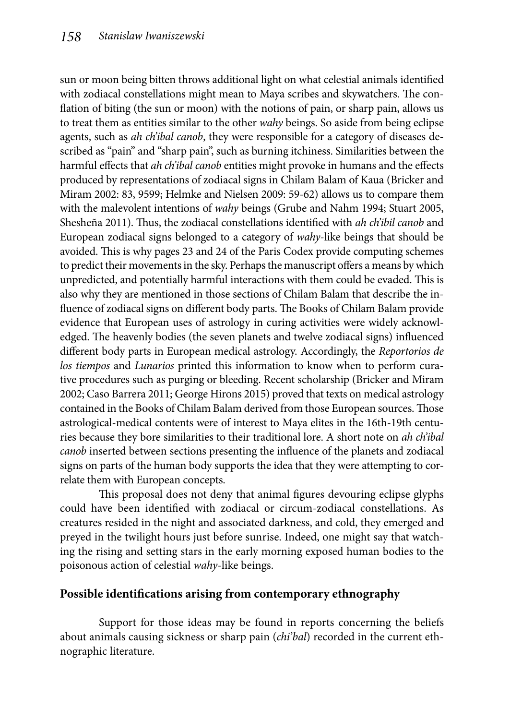sun or moon being bitten throws additional light on what celestial animals identified with zodiacal constellations might mean to Maya scribes and skywatchers. The conflation of biting (the sun or moon) with the notions of pain, or sharp pain, allows us to treat them as entities similar to the other *wahy* beings. So aside from being eclipse agents, such as *ah ch'ibal canob*, they were responsible for a category of diseases described as "pain" and "sharp pain", such as burning itchiness. Similarities between the harmful effects that *ah ch'ibal canob* entities might provoke in humans and the effects produced by representations of zodiacal signs in Chilam Balam of Kaua (Bricker and Miram 2002: 83, 9599; Helmke and Nielsen 2009: 59-62) allows us to compare them with the malevolent intentions of *wahy* beings (Grube and Nahm 1994; Stuart 2005, Shesheña 2011). Thus, the zodiacal constellations identified with *ah ch'ibil canob* and European zodiacal signs belonged to a category of *wahy*-like beings that should be avoided. This is why pages 23 and 24 of the Paris Codex provide computing schemes to predict their movements in the sky. Perhaps the manuscript offers a means by which unpredicted, and potentially harmful interactions with them could be evaded. This is also why they are mentioned in those sections of Chilam Balam that describe the influence of zodiacal signs on different body parts. The Books of Chilam Balam provide evidence that European uses of astrology in curing activities were widely acknowledged. The heavenly bodies (the seven planets and twelve zodiacal signs) influenced diff erent body parts in European medical astrology. Accordingly, the *Reportorios de los tiempos* and *Lunarios* printed this information to know when to perform curative procedures such as purging or bleeding. Recent scholarship (Bricker and Miram 2002; Caso Barrera 2011; George Hirons 2015) proved that texts on medical astrology contained in the Books of Chilam Balam derived from those European sources. Those astrological-medical contents were of interest to Maya elites in the 16th-19th centuries because they bore similarities to their traditional lore. A short note on *ah ch'ibal canob* inserted between sections presenting the influence of the planets and zodiacal signs on parts of the human body supports the idea that they were attempting to correlate them with European concepts.

This proposal does not deny that animal figures devouring eclipse glyphs could have been identified with zodiacal or circum-zodiacal constellations. As creatures resided in the night and associated darkness, and cold, they emerged and preyed in the twilight hours just before sunrise. Indeed, one might say that watching the rising and setting stars in the early morning exposed human bodies to the poisonous action of celestial *wahy*-like beings.

# **Possible identifications arising from contemporary ethnography**

Support for those ideas may be found in reports concerning the beliefs about animals causing sickness or sharp pain (*chi'bal*) recorded in the current ethnographic literature.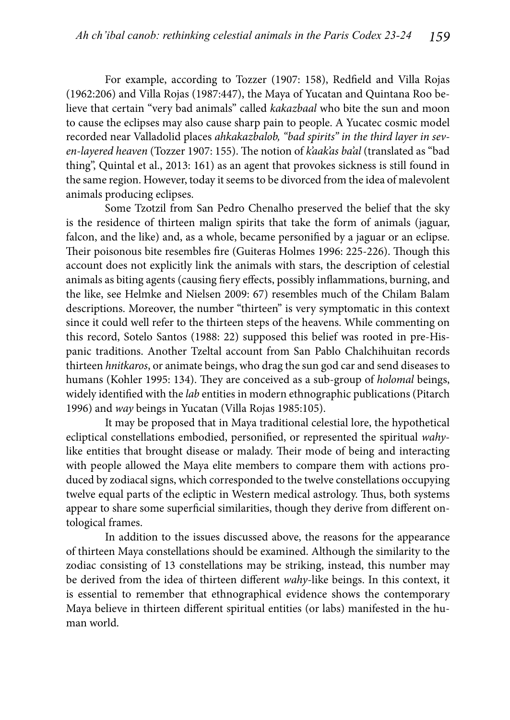For example, according to Tozzer (1907: 158), Redfield and Villa Rojas (1962:206) and Villa Rojas (1987:447), the Maya of Yucatan and Quintana Roo believe that certain "very bad animals" called *kakazbaal* who bite the sun and moon to cause the eclipses may also cause sharp pain to people. A Yucatec cosmic model recorded near Valladolid places *ahkakazbalob, "bad spirits" in the third layer in sev*en-layered heaven (Tozzer 1907: 155). The notion of *k'aak'as ba'al* (translated as "bad thing", Quintal et al., 2013: 161) as an agent that provokes sickness is still found in the same region. However, today it seems to be divorced from the idea of malevolent animals producing eclipses.

Some Tzotzil from San Pedro Chenalho preserved the belief that the sky is the residence of thirteen malign spirits that take the form of animals (jaguar, falcon, and the like) and, as a whole, became personified by a jaguar or an eclipse. Their poisonous bite resembles fire (Guiteras Holmes 1996: 225-226). Though this account does not explicitly link the animals with stars, the description of celestial animals as biting agents (causing fiery effects, possibly inflammations, burning, and the like, see Helmke and Nielsen 2009: 67) resembles much of the Chilam Balam descriptions. Moreover, the number "thirteen" is very symptomatic in this context since it could well refer to the thirteen steps of the heavens. While commenting on this record, Sotelo Santos (1988: 22) supposed this belief was rooted in pre-Hispanic traditions. Another Tzeltal account from San Pablo Chalchihuitan records thirteen *hnitkaros*, or animate beings, who drag the sun god car and send diseases to humans (Kohler 1995: 134). They are conceived as a sub-group of *holomal* beings, widely identified with the *lab* entities in modern ethnographic publications (Pitarch 1996) and *way* beings in Yucatan (Villa Rojas 1985:105).

It may be proposed that in Maya traditional celestial lore, the hypothetical ecliptical constellations embodied, personified, or represented the spiritual *wahy*like entities that brought disease or malady. Their mode of being and interacting with people allowed the Maya elite members to compare them with actions produced by zodiacal signs, which corresponded to the twelve constellations occupying twelve equal parts of the ecliptic in Western medical astrology. Thus, both systems appear to share some superficial similarities, though they derive from different ontological frames.

In addition to the issues discussed above, the reasons for the appearance of thirteen Maya constellations should be examined. Although the similarity to the zodiac consisting of 13 constellations may be striking, instead, this number may be derived from the idea of thirteen different *wahy*-like beings. In this context, it is essential to remember that ethnographical evidence shows the contemporary Maya believe in thirteen different spiritual entities (or labs) manifested in the human world.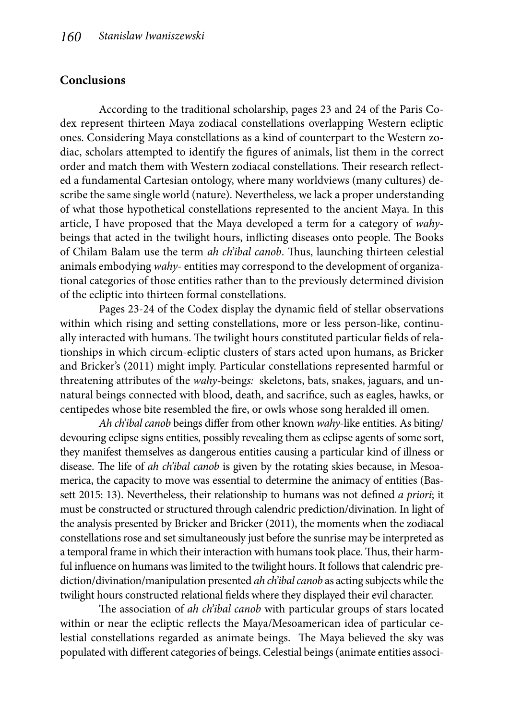### **Conclusions**

According to the traditional scholarship, pages 23 and 24 of the Paris Codex represent thirteen Maya zodiacal constellations overlapping Western ecliptic ones. Considering Maya constellations as a kind of counterpart to the Western zodiac, scholars attempted to identify the figures of animals, list them in the correct order and match them with Western zodiacal constellations. Their research reflected a fundamental Cartesian ontology, where many worldviews (many cultures) describe the same single world (nature). Nevertheless, we lack a proper understanding of what those hypothetical constellations represented to the ancient Maya. In this article, I have proposed that the Maya developed a term for a category of *wahy*beings that acted in the twilight hours, inflicting diseases onto people. The Books of Chilam Balam use the term *ah ch'ibal canob*. Thus, launching thirteen celestial animals embodying *wahy*- entities may correspond to the development of organizational categories of those entities rather than to the previously determined division of the ecliptic into thirteen formal constellations.

Pages 23-24 of the Codex display the dynamic field of stellar observations within which rising and setting constellations, more or less person-like, continually interacted with humans. The twilight hours constituted particular fields of relationships in which circum-ecliptic clusters of stars acted upon humans, as Bricker and Bricker's (2011) might imply. Particular constellations represented harmful or threatening attributes of the *wahy-*being*s:* skeletons, bats, snakes, jaguars, and unnatural beings connected with blood, death, and sacrifice, such as eagles, hawks, or centipedes whose bite resembled the fire, or owls whose song heralded ill omen.

*Ah ch'ibal canob* beings differ from other known *wahy*-like entities. As biting/ devouring eclipse signs entities, possibly revealing them as eclipse agents of some sort, they manifest themselves as dangerous entities causing a particular kind of illness or disease. The life of *ah ch'ibal canob* is given by the rotating skies because, in Mesoamerica, the capacity to move was essential to determine the animacy of entities (Bassett 2015: 13). Nevertheless, their relationship to humans was not defined *a priori*; it must be constructed or structured through calendric prediction/divination. In light of the analysis presented by Bricker and Bricker (2011), the moments when the zodiacal constellations rose and set simultaneously just before the sunrise may be interpreted as a temporal frame in which their interaction with humans took place. Thus, their harmful influence on humans was limited to the twilight hours. It follows that calendric prediction/divination/manipulation presented *ah ch'ibal canob* as acting subjects while the twilight hours constructed relational fields where they displayed their evil character.

The association of *ah ch'ibal canob* with particular groups of stars located within or near the ecliptic reflects the Maya/Mesoamerican idea of particular celestial constellations regarded as animate beings. The Maya believed the sky was populated with different categories of beings. Celestial beings (animate entities associ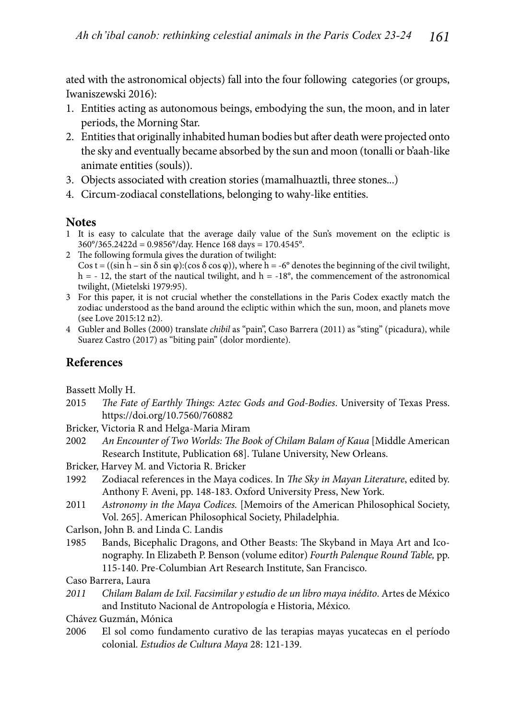ated with the astronomical objects) fall into the four following categories (or groups, Iwaniszewski 2016):

- 1. Entities acting as autonomous beings, embodying the sun, the moon, and in later periods, the Morning Star.
- 2. Entities that originally inhabited human bodies but after death were projected onto the sky and eventually became absorbed by the sun and moon (tonalli or b'aah-like animate entities (souls)).
- 3. Objects associated with creation stories (mamalhuaztli, three stones...)
- 4. Circum-zodiacal constellations, belonging to wahy-like entities.

### **Notes**

- 1 It is easy to calculate that the average daily value of the Sun's movement on the ecliptic is 360°/365.2422d = 0.9856°/day. Hence 168 days = 170.4545°.
- 2 The following formula gives the duration of twilight:  $\cos t = ((\sin h - \sin \delta \sin \varphi) \cdot (\cos \delta \cos \varphi))$ , where  $h = -6^{\circ}$  denotes the beginning of the civil twilight,  $h = -12$ , the start of the nautical twilight, and  $h = -18^{\circ}$ , the commencement of the astronomical twilight, (Mietelski 1979:95).
- 3 For this paper, it is not crucial whether the constellations in the Paris Codex exactly match the zodiac understood as the band around the ecliptic within which the sun, moon, and planets move (see Love 2015:12 n2).
- 4 Gubler and Bolles (2000) translate *chibil* as "pain", Caso Barrera (2011) as "sting" (picadura), while Suarez Castro (2017) as "biting pain" (dolor mordiente).

### **References**

Bassett Molly H.

- 2015 *The Fate of Earthly Things: Aztec Gods and God-Bodies*. University of Texas Press. https://doi.org/10.7560/760882
- Bricker, Victoria R and Helga-Maria Miram
- 2002 An Encounter of Two Worlds: The Book of Chilam Balam of Kaua [Middle American Research Institute, Publication 68]. Tulane University, New Orleans.
- Bricker, Harvey M. and Victoria R. Bricker
- 1992 Zodiacal references in the Maya codices. In *The Sky in Mayan Literature*, edited by. Anthony F. Aveni, pp. 148-183. Oxford University Press, New York.
- 2011 *Astronomy in the Maya Codices.* [Memoirs of the American Philosophical Society, Vol. 265]. American Philosophical Society, Philadelphia.
- Carlson, John B. and Linda C. Landis
- 1985 Bands, Bicephalic Dragons, and Other Beasts: The Skyband in Maya Art and Iconography. In Elizabeth P. Benson (volume editor) *Fourth Palenque Round Table,* pp. 115-140. Pre-Columbian Art Research Institute, San Francisco.

Caso Barrera, Laura

- *2011 Chilam Balam de Ixil. Facsimilar y estudio de un libro maya inédito*. Artes de México and Instituto Nacional de Antropología e Historia, México.
- Chávez Guzmán, Mónica
- 2006 El sol como fundamento curativo de las terapias mayas yucatecas en el período colonial. *Estudios de Cultura Maya* 28: 121-139.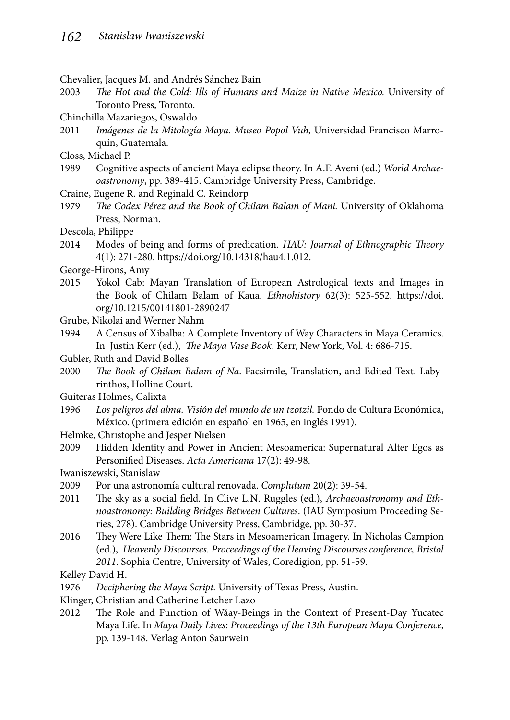- Chevalier, Jacques M. and Andrés Sánchez Bain
- 2003 The Hot and the Cold: Ills of Humans and Maize in Native Mexico. University of Toronto Press, Toronto.
- Chinchilla Mazariegos, Oswaldo
- 2011 *Imágenes de la Mitología Maya. Museo Popol Vuh*, Universidad Francisco Marroquín, Guatemala.
- Closs, Michael P.
- 1989 Cognitive aspects of ancient Maya eclipse theory. In A.F. Aveni (ed.) *World Archaeoastronomy*, pp. 389-415. Cambridge University Press, Cambridge.
- Craine, Eugene R. and Reginald C. Reindorp
- 1979 *The Codex Pérez and the Book of Chilam Balam of Mani.* University of Oklahoma Press, Norman.

Descola, Philippe

- 2014 Modes of being and forms of predication. HAU: Journal of Ethnographic Theory 4(1): 271-280. https://doi.org/10.14318/hau4.1.012.
- George-Hirons, Amy
- 2015 Yokol Cab: Mayan Translation of European Astrological texts and Images in the Book of Chilam Balam of Kaua. *Ethnohistory* 62(3): 525-552. https://doi. org/10.1215/00141801-2890247
- Grube, Nikolai and Werner Nahm
- 1994 A Census of Xibalba: A Complete Inventory of Way Characters in Maya Ceramics. In Justin Kerr (ed.), *The Maya Vase Book*. Kerr, New York, Vol. 4: 686-715.
- Gubler, Ruth and David Bolles
- 2000 *The Book of Chilam Balam of Na*. Facsimile, Translation, and Edited Text. Labyrinthos, Holline Court.
- Guiteras Holmes, Calixta
- 1996 *Los peligros del alma. Visión del mundo de un tzotzil.* Fondo de Cultura Económica, México. (primera edición en español en 1965, en inglés 1991).
- Helmke, Christophe and Jesper Nielsen
- 2009 Hidden Identity and Power in Ancient Mesoamerica: Supernatural Alter Egos as Personified Diseases. *Acta Americana* 17(2): 49-98.

Iwaniszewski, Stanislaw

- 2009 Por una astronomía cultural renovada. *Complutum* 20(2): 39-54.
- 2011 The sky as a social field. In Clive L.N. Ruggles (ed.), *Archaeoastronomy and Ethnoastronomy: Building Bridges Between Cultures*. (IAU Symposium Proceeding Series, 278). Cambridge University Press, Cambridge, pp. 30-37.
- 2016 They Were Like Them: The Stars in Mesoamerican Imagery. In Nicholas Campion (ed.), *Heavenly Discourses. Proceedings of the Heaving Discourses conference, Bristol 2011*. Sophia Centre, University of Wales, Coredigion, pp. 51-59.

Kelley David H.

- 1976 *Deciphering the Maya Script.* University of Texas Press, Austin.
- Klinger, Christian and Catherine Letcher Lazo
- 2012 The Role and Function of Wáay-Beings in the Context of Present-Day Yucatec Maya Life. In *Maya Daily Lives: Proceedings of the 13th European Maya Conference*, pp. 139-148. Verlag Anton Saurwein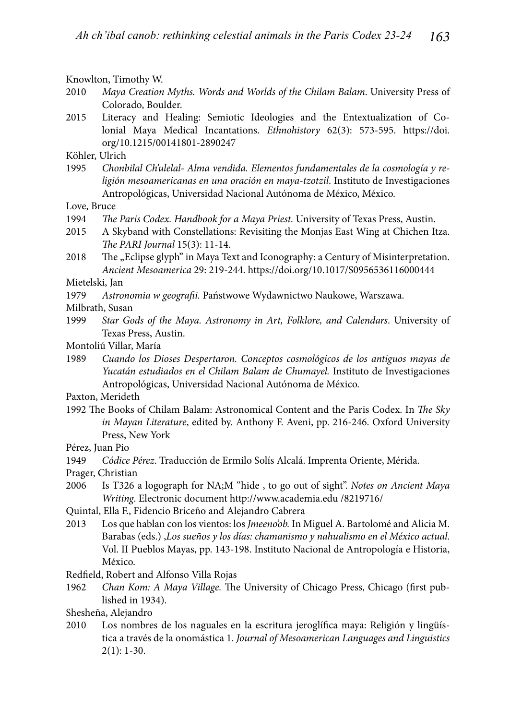Knowlton, Timothy W.

- 2010 *Maya Creation Myths. Words and Worlds of the Chilam Balam*. University Press of Colorado, Boulder.
- 2015 Literacy and Healing: Semiotic Ideologies and the Entextualization of Colonial Maya Medical Incantations. *Ethnohistory* 62(3): 573-595. https://doi. org/10.1215/00141801-2890247

Köhler, Ulrich<br>1995 Chonk

1995 *Chonbilal Ch'ulelal- Alma vendida. Elementos fundamentales de la cosmología y religión mesoamericanas en una oración en maya-tzotzil*. Instituto de Investigaciones Antropológicas, Universidad Nacional Autónoma de México, México.

Love, Bruce

- 1994 *The Paris Codex. Handbook for a Maya Priest*. University of Texas Press, Austin.
- 2015 A Skyband with Constellations: Revisiting the Monjas East Wing at Chichen Itza. *The PARI Journal* 15(3): 11-14.
- 2018 The "Eclipse glyph" in Maya Text and Iconography: a Century of Misinterpretation. *Ancient Mesoamerica* 29: 219-244. https://doi.org/10.1017/S0956536116000444

Mietelski, Jan

1979 *Astronomia w geografii*. Państwowe Wydawnictwo Naukowe, Warszawa.

Milbrath, Susan

1999 *Star Gods of the Maya. Astronomy in Art, Folklore, and Calendars*. University of Texas Press, Austin.

Montoliú Villar, María

1989 *Cuando los Dioses Despertaron. Conceptos cosmológicos de los antiguos mayas de Yucatán estudiados en el Chilam Balam de Chumayel.* Instituto de Investigaciones Antropológicas, Universidad Nacional Autónoma de México.

Paxton, Merideth

1992 The Books of Chilam Balam: Astronomical Content and the Paris Codex. In *The Sky in Mayan Literature*, edited by. Anthony F. Aveni, pp. 216-246. Oxford University Press, New York

Pérez, Juan Pio

1949 *Códice Pérez*. Traducción de Ermilo Solís Alcalá. Imprenta Oriente, Mérida.

Prager, Christian

- 2006 Is T326 a logograph for NA;M "hide , to go out of sight". *Notes on Ancient Maya Writing*. Electronic document http://www.academia.edu /8219716/
- Quintal, Ella F., Fidencio Briceño and Alejandro Cabrera
- 2013 Los que hablan con los vientos: los *Jmeeno'ob.* In Miguel A. Bartolomé and Alicia M. Barabas (eds.) ,*Los sueños y los días: chamanismo y nahualismo en el México actual*. Vol. II Pueblos Mayas, pp. 143-198. Instituto Nacional de Antropología e Historia, México.
- Redfield, Robert and Alfonso Villa Rojas
- 1962 *Chan Kom: A Maya Village.* The University of Chicago Press, Chicago (first published in 1934).
- Shesheña, Alejandro
- 2010 Los nombres de los naguales en la escritura jeroglífica maya: Religión y lingüística a través de la onomástica 1. *Journal of Mesoamerican Languages and Linguistics* 2(1): 1-30.